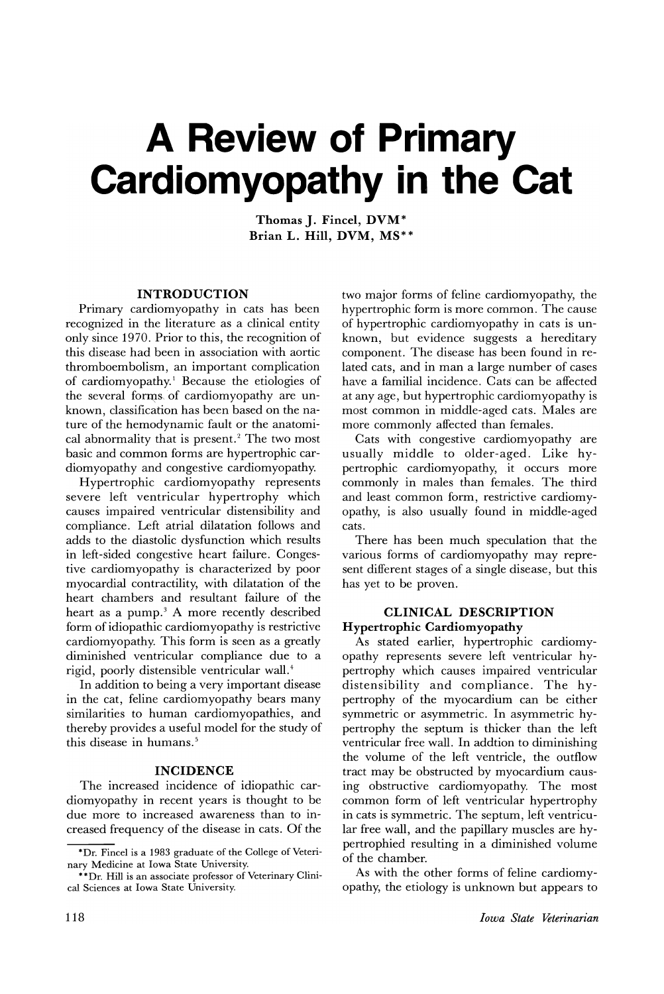# **A Review of Primary Cardiomyopathy in the Cat**

**Thomas J. Fincel, DVM\* Brian L. Hill, DVM,** MS\*\*

#### **INTRODUCTION**

Primary cardiomyopathy in cats has been recognized in the literature as a clinical entity only since 1970. Prior to this, the recognition of this disease had been in association with aortic thromboembolism, an important complication of cardiomyopathy.<sup>1</sup> Because the etiologies of the several forms of cardiomyopathy are unknown, classification has been based on the nature of the hemodynamic fault or the anatomical abnormality that is present.<sup>2</sup> The two most basic and common forms are hypertrophic cardiomyopathy and congestive cardiomyopathy.

Hypertrophic cardiomyopathy represents severe left ventricular hypertrophy which causes impaired ventricular distensibility and compliance. Left atrial dilatation follows and adds to the diastolic dysfunction which results in left-sided congestive heart failure. Congestive cardiomyopathy is characterized by poor myocardial contractility, with dilatation of the heart chambers and resultant failure of the heart as a pump.<sup>3</sup> A more recently described form of idiopathic cardiomyopathy is restrictive cardiomyopathy. This form is seen as a greatly diminished ventricular compliance due to a rigid, poorly distensible ventricular wall.<sup>4</sup>

In addition to being a very important disease in the cat, feline cardiomyopathy bears many similarities to human cardiomyopathies, and thereby provides a useful model for the study of this disease in humans. <sup>5</sup>

#### **INCIDENCE**

The increased incidence of idiopathic cardiomyopathy in recent years is thought to be due more to increased awareness than to increased frequency of the disease in cats. Of the

two major forms of feline cardiomyopathy, the hypertrophic form is more common. The cause of hypertrophic cardiomyopathy in cats is unknown, but evidence suggests a hereditary component. The disease has been found in related cats, and in man a large number of cases have a familial incidence. Cats can be affected at any age, but hypertrophic cardiomyopathy is most common in middle-aged cats. Males are more commonly affected than females.

Cats with congestive cardiomyopathy are usually middle to older-aged. Like hypertrophic cardiomyopathy, it occurs more commonly in males than females. The third and least common form, restrictive cardiomyopathy, is also usually found in middle-aged cats.

There has been much speculation that the various forms of cardiomyopathy may represent different stages of a single disease, but this has yet to be proven.

#### **CLINICAL DESCRIPTION Hypertrophic Cardiomyopathy**

As stated earlier, hypertrophic cardiomyopathy represents severe left ventricular hypertrophy which causes impaired ventricular distensibility and compliance. The hypertrophy of the myocardium can be either symmetric or asymmetric. In asymmetric hypertrophy the septum is thicker than the left ventricular free wall. In addtion to diminishing the volume of the left ventricle, the outflow tract may be obstructed by myocardium causing obstructive cardiomyopathy. The most common form of left ventricular hypertrophy in cats is symmetric. The septum, left ventricular free wall, and the papillary muscles are hypertrophied resulting in a diminished volume of the chamber.

As with the other forms of feline cardiomyopathy, the etiology is unknown but appears to

<sup>\*</sup>Dr. Fincel is a 1983 graduate of the College of Veterinary Medicine at Iowa State University.

<sup>\*\*</sup>Dr. Hill is an associate professor of Veterinary Clinical Sciences at Iowa State University.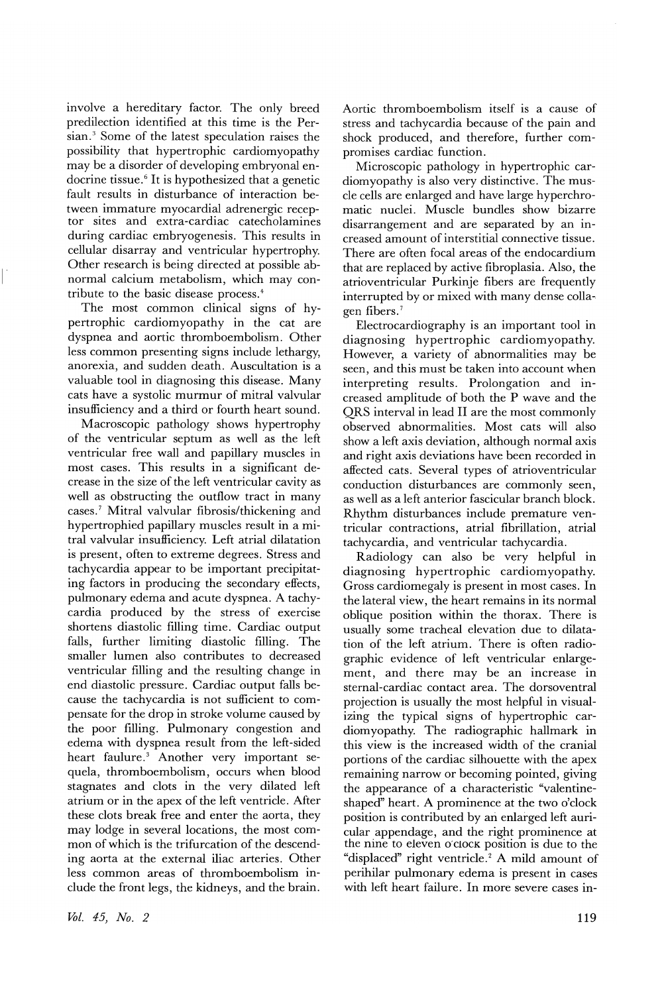involve a hereditary factor. The only breed predilection identified at this time is the Persian.<sup>3</sup> Some of the latest speculation raises the possibility that hypertrophic cardiomyopathy may be a disorder of developing embryonal endocrine tissue. <sup>6</sup> It is hypothesized that a genetic fault results in disturbance of interaction between immature myocardial adrenergic receptor sites and extra-cardiac catecholamines during cardiac embryogenesis. This results in cellular disarray and ventricular hypertrophy. Other research is being directed at possible abnormal calcium metabolism, which may contribute to the basic disease process. <sup>4</sup>

The most common clinical signs of hypertrophic cardiomyopathy in the cat are dyspnea and aortic thromboembolism. Other less common presenting signs include lethargy, anorexia, and sudden death. Auscultation is a valuable tool in diagnosing this disease. Many cats have a systolic murmur of mitral valvular insufficiency and a third or fourth heart sound.

Macroscopic pathology shows hypertrophy of the ventricular septum as well as the left ventricular free wall and papillary muscles in most cases. This results in a significant decrease in the size of the left ventricular cavity as well as obstructing the outflow tract in many cases.<sup>7</sup> Mitral valvular fibrosis/thickening and hypertrophied papillary muscles result in a mitral valvular insufficiency. Left atrial dilatation is present, often to extreme degrees. Stress and tachycardia appear to be important precipitating factors in producing the secondary effects, pulmonary edema and acute dyspnea. A tachycardia produced by the stress of exercise shortens diastolic filling time. Cardiac output falls, further limiting diastolic filling. The smaller lumen also contributes to decreased ventricular filling and the resulting change in end diastolic pressure. Cardiac output falls because the tachycardia is not sufficient to compensate for the drop in stroke volume caused by the poor filling. Pulmonary congestion and edema with dyspnea result from the left-sided heart faulure.<sup>3</sup> Another very important sequela, thromboembolism, occurs when blood stagnates and clots in the very dilated left atrium or in the apex of the left ventricle. After these clots break free and enter the aorta, they may lodge in several locations, the most common of which is the trifurcation of the descending aorta at the external iliac arteries. Other less common areas of thromboembolism include the front legs, the kidneys, and the brain.

*VOl.* 45) *No. 2*

Aortic thromboembolism itself is a cause of stress and tachycardia because of the pain and shock produced, and therefore, further compromises cardiac function.

Microscopic pathology in hypertrophic cardiomyopathy is also very distinctive. The muscle cells are enlarged and have large hyperchromatic nuclei. Muscle bundles show bizarre disarrangement and are separated by an increased amount of interstitial connective tissue. There are often focal areas of the endocardium that are replaced by active fibroplasia. Also, the atrioventricular Purkinje fibers are frequently interrupted by or mixed with many dense colla-· gen fibers. <sup>7</sup>

Electrocardiography is an important tool in diagnosing hypertrophic cardiomyopathy. However, a variety of abnormalities may be seen, and this must be taken into account when interpreting results. Prolongation and increased amplitude of both the P wave and the QRS interval in lead II are the most commonly observed abnormalities. Most cats will also show a left axis deviation, although normal axis and right axis deviations have been recorded in affected cats. Several types of atrioventricular conduction disturbances are commonly seen, as well as a left anterior fascicular branch block. Rhythm disturbances include premature ventricular contractions, atrial fibrillation, atrial tachycardia, and ventricular tachycardia.

Radiology can also be very helpful in diagnosing hypertrophic cardiomyopathy. Gross cardiomegaly is present in most cases. In the lateral view, the heart remains in its normal oblique position within the thorax. There is usually some tracheal elevation due to dilatation of the left atrium. There is often radiographic evidence of left ventricular enlargement, and there may be an increase in sternal-cardiac contact area. The dorsoventral projection is usually the most helpful in visualizing the typical signs of hypertrophic cardiomyopathy. The radiographic hallmark in this view is the increased width of the cranial portions of the cardiac silhouette with the apex remaining narrow or becoming pointed, giving the appearance of a characteristic "valentineshaped" heart. A prominence at the two o'clock position is contributed by an enlarged left auricular appendage, and the right prominence at the nine to eleven o'cloCK position is due to the "displaced" right ventricle. <sup>2</sup> A mild amount of perihilar pulmonary edema is present in cases with left heart failure. In more severe cases in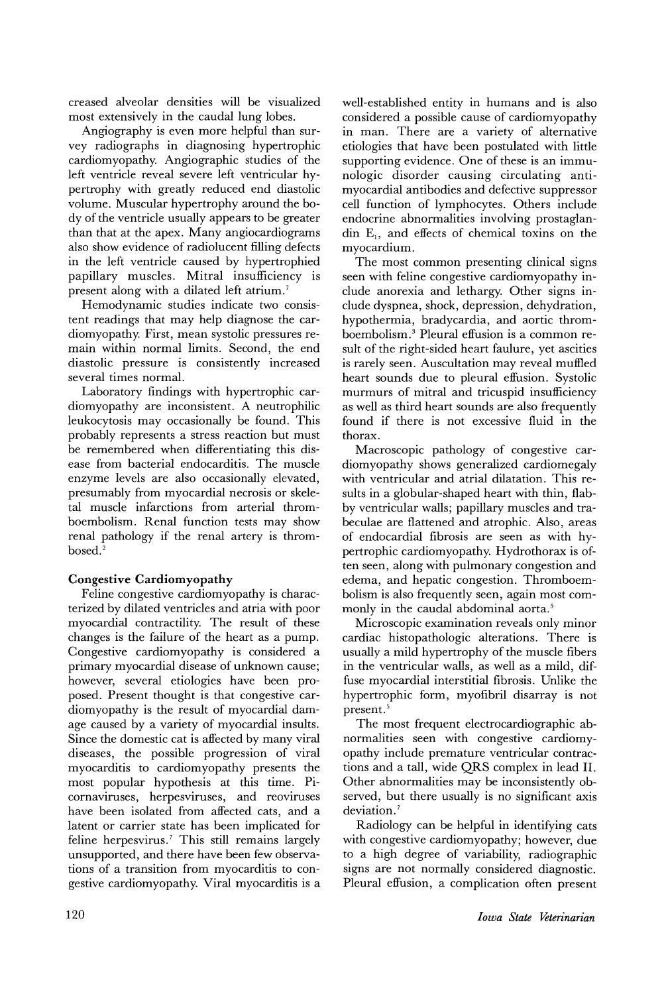creased alveolar densities will be visualized most extensively in the caudal lung lobes.

Angiography is even more helpful than survey radiographs in diagnosing hypertrophic cardiomyopathy. Angiographic studies of the left ventricle reveal severe left ventricular hypertrophy with greatly reduced end diastolic volume. Muscular hypertrophy around the body of the ventricle usually appears to be greater than that at the apex. Many angiocardiograms also show evidence of radiolucent filling defects in the left ventricle caused by hypertrophied papillary muscles. Mitral insufficiency is present along with a dilated left atrium.<sup>7</sup>

Hemodynamic studies indicate two consistent readings that may help diagnose the cardiomyopathy. First, mean systolic pressures remain within normal limits. Second, the end diastolic pressure is consistently increased several times normal.

Laboratory findings with hypertrophic cardiomyopathy are inconsistent. A neutrophilic leukocytosis may occasionally be found. This probably represents a stress reaction but must be remembered when differentiating this disease from bacterial endocarditis. The muscle enzyme levels are also occasionally elevated, presumably from myocardial necrosis or skeletal muscle infarctions from arterial thromboembolism. Renal function tests may show renal pathology if the renal artery is thrombosed.<sup>2</sup>

# Congestive Cardiomyopathy

Feline congestive cardiomyopathy is characterized by dilated ventricles and atria with poor myocardial contractility. The result of these changes is the failure of the heart as a pump. Congestive cardiomyopathy is considered a primary myocardial disease of unknown cause; however, several etiologies have been proposed. Present thought is that congestive cardiomyopathy is the result of myocardial damage caused by a variety of myocardial insults. Since the domestic cat is affected by many viral diseases, the possible progression of viral myocarditis to cardiomyopathy presents the most popular hypothesis at this time. Picornaviruses, herpesviruses, and reoviruses have been isolated from affected cats, and a latent or carrier state has been implicated for feline herpesvirus.<sup>7</sup> This still remains largely unsupported, and there have been few observations of a transition from myocarditis to congestive cardiomyopathy. Viral myocarditis is a

well-established entity in humans and is also considered a possible cause of cardiomyopathy in man. There are a variety of alternative etiologies that have been postulated with little supporting evidence. One of these is an immunologic disorder causing circulating antimyocardial antibodies and defective suppressor cell function of lymphocytes. Others include endocrine abnormalities involving prostaglandin  $E_1$ , and effects of chemical toxins on the myocardium.

The most common presenting clinical signs seen with feline congestive cardiomyopathy include anorexia and lethargy. Other signs include dyspnea, shock, depression, dehydration, hypothermia, bradycardia, and aortic thromboembolism. <sup>3</sup> Pleural effusion is a common result of the right-sided heart faulure, yet ascities is rarely seen. Auscultation may reveal muffied heart sounds due to pleural effusion. Systolic murmurs of mitral and tricuspid insufficiency as well as third heart sounds are also frequently found if there is not excessive fluid in the thorax.

Macroscopic pathology of congestive cardiomyopathy shows generalized cardiomegaly with ventricular and atrial dilatation. This results in a globular-shaped heart with thin, flabby ventricular walls; papillary muscles and trabeculae are flattened and atrophic. Also, areas of endocardial fibrosis are seen as with hypertrophic cardiomyopathy. Hydrothorax is often seen, along with pulmonary congestion and edema, and hepatic congestion. Thromboembolism is also frequently seen, again most commonly in the caudal abdominal aorta.<sup>5</sup>

Microscopic examination reveals only minor cardiac histopathologic alterations. There is usually a mild hypertrophy of the muscle fibers in the ventricular walls, as well as a mild, diffuse myocardial interstitial fibrosis. Unlike the hypertrophic form, myofibril disarray is not present.<sup>5</sup>

The most frequent electrocardiographic abnormalities seen with congestive cardiomyopathy include premature ventricular contractions and a tall, wide QRS complex in lead II. Other abnormalities may be inconsistently observed, but there usually is no significant axis deviation.<sup>7</sup>

Radiology can be helpful in identifying cats with congestive cardiomyopathy; however, due to a high degree of variability, radiographic signs are not normally considered diagnostic. Pleural effusion, a complication often present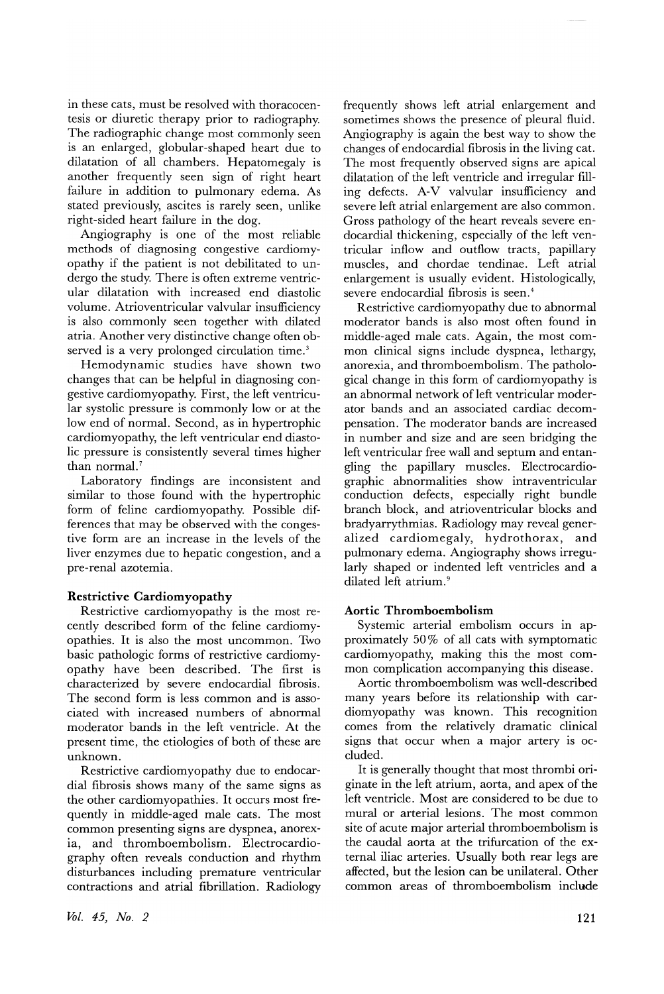in these cats, must be resolved with thoracocentesis or diuretic therapy prior to radiography. The radiographic change most commonly seen is an enlarged, globular-shaped heart due to dilatation of all chambers. Hepatomegaly is another frequently seen sign of right heart failure in addition to pulmonary edema. As stated previously, ascites is rarely seen, unlike right-sided heart failure in the dog.

Angiography is one of the most reliable methods of diagnosing congestive cardiomyopathy if the patient is not debilitated to undergo the study. There is often extreme ventricular dilatation with increased end diastolic volume. Atrioventricular valvular insufficiency is also commonly seen together with dilated atria. Another very distinctive change often observed is a very prolonged circulation time.<sup>3</sup>

Hemodynamic studies have shown two changes that can be helpful in diagnosing congestive cardiomyopathy. First, the left ventricular systolic pressure is commonly low or at the low end of normal. Second, as in hypertrophic cardiomyopathy, the left ventricular end diastolic pressure is consistently several times higher than normal.?

Laboratory findings are inconsistent and similar to those found with the hypertrophic form of feline cardiomyopathy. Possible differences that may be observed with the congestive form are an increase in the levels of the liver enzymes due to hepatic congestion, and a pre-renal azotemia.

#### Restrictive Cardiomyopathy

Restrictive cardiomyopathy is the most recently described form of the feline cardiomyopathies. It is also the most uncommon. Two basic pathologic forms of restrictive cardiomyopathy have been described. The first is characterized by severe endocardial fibrosis. The second form is less common and is associated with increased numbers of abnormal moderator bands in the left ventricle. At the present time, the etiologies of both of these are unknown.

Restrictive cardiomyopathy due to endocardial fibrosis shows many of the same signs as the other cardiomyopathies. It occurs most frequently in middle-aged male cats. The most common presenting signs are dyspnea, anorexia, and thromboembolism. Electrocardiography often reveals conduction and rhythm disturbances including premature ventricular contractions and atrial fibrillation. Radiology frequently shows left atrial enlargement and sometimes shows the presence of pleural fluid. Angiography is again the best way to show the changes of endocardial fibrosis in the living cat. The most frequently observed signs are apical dilatation of the left ventricle and irregular filling defects. A-V valvular insufficiency and severe left atrial enlargement are also common. Gross pathology of the heart reveals severe endocardial thickening, especially of the left ventricular inflow and outflow tracts, papillary muscles, and chordae tendinae. Left atrial enlargement is usually evident. Histologically, severe endocardial fibrosis is seen. <sup>4</sup>

Restrictive cardiomyopathy due to abnormal moderator bands is also most often found in middle-aged male cats. Again, the most common clinical signs include dyspnea, lethargy, anorexia, and thromboembolism. The pathological change in this form of cardiomyopathy is an abnormal network of left ventricular moderator bands and an associated cardiac decompensation. The moderator bands are increased in number and size and are seen bridging the left ventricular free wall and septum and entangling the papillary muscles. Electrocardiographic abnormalities show intraventricular conduction defects, especially right bundle branch block, and atrioventricular blocks and bradyarrythmias. Radiology may reveal generalized cardiomegaly, hydrothorax, and pulmonary edema. Angiography shows irregularly shaped or indented left ventricles and a dilated left atrium.<sup>9</sup>

#### Aortic Thromboembolism

Systemic arterial embolism occurs in approximately 50 % of all cats with symptomatic cardiomyopathy, making this the most common complication accompanying this disease.

Aortic thromboembolism was well-described many years before its relationship with cardiomyopathy was known. This recognition comes from the relatively dramatic clinical signs that occur when a major artery is occluded.

It is generally thought that most thrombi originate in the left atrium, aorta, and apex of the left ventricle. Most are considered to be due to mural or arterial lesions. The most common site of acute major arterial thromboembolism is the caudal aorta at the trifurcation of the external iliac arteries. Usually both rear legs are affected, but the lesion can be unilateral. Other common areas of thromboembolism include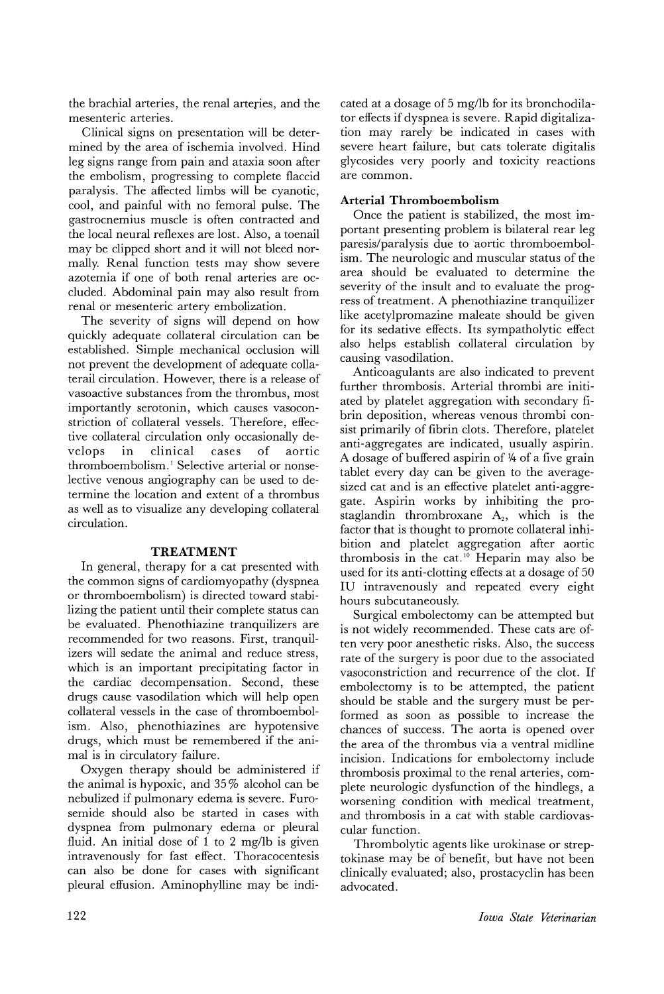the brachial arteries, the renal arteries, and the mesenteric arteries.

Clinical signs on presentation will be determined by the area of ischemia involved. Hind leg signs range from pain and ataxia soon after the embolism, progressing to complete flaccid paralysis. The affected limbs will be cyanotic, cool, and painful with no femoral pulse. The gastrocnemius muscle is often contracted and the local neural reflexes are lost. Also, a toenail may be clipped short and it will not bleed normally. Renal function tests may show severe azotemia if one of both renal arteries are occluded. Abdominal pain may also result from renal or mesenteric artery embolization.

The severity of signs will depend on how quickly adequate collateral circulation can be established. Simple mechanical occlusion will not prevent the development of adequate collaterail circulation. However, there is a release of vasoactive substances from the thrombus, most importantly serotonin, which causes vasoconstriction of collateral vessels. Therefore, effective collateral circulation only occasionally develops in clinical cases of aortic thromboembolism.<sup>1</sup> Selective arterial or nonselective venous angiography can be used to determine the location and extent of a thrombus as well as to visualize any developing collateral circulation.

#### **TREATMENT**

In general, therapy for a cat presented with the common signs of cardiomyopathy (dyspnea or thromboembolism) is directed toward stabilizing the patient until their complete status can be evaluated. Phenothiazine tranquilizers are recommended for two reasons. First, tranquilizers will sedate the animal and reduce stress, which is an important precipitating factor in the cardiac decompensation. Second, these drugs cause vasodilation which will help open collateral vessels in the case of thrornboembolism. Also, phenothiazines are hypotensive drugs, which must be remembered if the animal is in circulatory failure.

Oxygen therapy should be administered if the animal is hypoxic, and 35 % alcohol can be nebulized if pulmonary edema is severe. Furosemide should also be started in cases with dyspnea from pulmonary edema or pleural fluid. An initial dose of 1 to 2 mg/lb is given intravenously for fast effect. Thoracocentesis can also be done for cases with significant pleural effusion. Aminophylline may be indicated at a dosage of 5 mg/lb for its bronchodilator effects if dyspnea is severe. Rapid digitalization may rarely be indicated in cases with severe heart failure, but cats tolerate digitalis glycosides very poorly and toxicity reactions are common.

# **Arterial Thromboembolism**

Once the patient is stabilized, the most important presenting problem is bilateral rear leg paresis/paralysis due to aortic thromboembolism. The neurologic and muscular status of the area should be evaluated to determine the severity of the insult and to evaluate the progress of treatment. A phenothiazine tranquilizer like acetylpromazine maleate should be given for its sedative effects. Its sympatholytic effect also helps establish collateral circulation by causing vasodilation.

Anticoagulants are also indicated to prevent further thrombosis. Arterial thrombi are initiated by platelet aggregation with secondary fibrin deposition, whereas venous thrombi consist primarily of fibrin clots. Therefore, platelet anti-aggregates are indicated, usually aspirin. A dosage of buffered aspirin of *1f4* of a five grain tablet every day can be given to the averagesized cat and is an effective platelet anti-aggregate. Aspirin works by inhibiting the prostaglandin thrombroxane  $A_2$ , which is the factor that is thought to promote collateral inhibition and platelet aggregation after aortic thrombosis in the cat.<sup>10</sup> Heparin may also be used for its anti-clotting effects at a dosage of 50 IV intravenously and repeated every eight hours subcutaneously.

Surgical embolectomy can be attempted but is not widely recommended. These cats are often very poor anesthetic risks. Also, the success rate of the surgery is poor due to the associated vasoconstriction and recurrence of the clot. If embolectomy is to be attempted, the patient should be stable and the surgery must be performed as soon as possible to increase the chances of success. The aorta is opened over the area of the thrombus via a ventral midline incision. Indications for embolectomy include thrombosis proximal to the renal arteries, complete neurologic dysfunction of the hindlegs, a worsening condition with medical treatment, and thrombosis in a cat with stable cardiovascular function.

Thrombolytic agents like urokinase or streptokinase may be of benefit, but have not been clinically evaluated; also, prostacyclin has been advocated.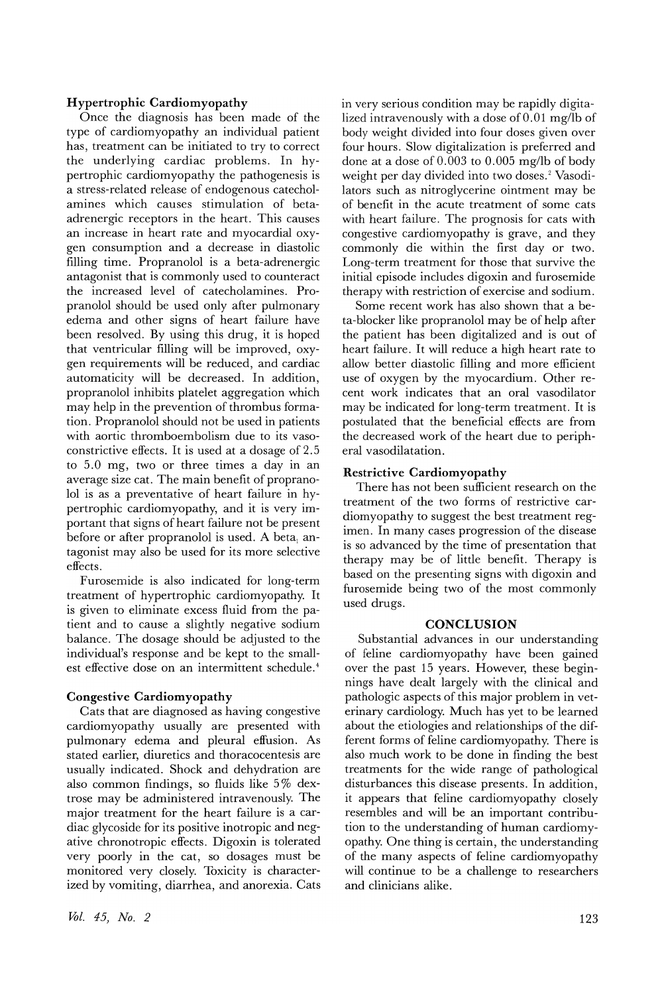## **Hypertrophic Cardiomyopathy**

Once the diagnosis has been made of the type of cardiomyopathy an individual patient has, treatment can be initiated to try to correct the underlying cardiac problems. In hypertrophic cardiomyopathy the pathogenesis is a stress-related release of endogenous catecholamines which causes stimulation of betaadrenergic receptors in the heart. This causes an increase in heart rate and myocardial oxygen consumption and a decrease in diastolic filling time. Propranolol is a beta-adrenergic antagonist that is commonly used to counteract the increased level of catecholamines. Propranolol should be used only after pulmonary edema and other signs of heart failure have been resolved. By using this drug, it is hoped that ventricular filling will be improved, oxygen requirements will be reduced, and cardiac automaticity will be decreased. In addition, propranolol inhibits platelet aggregation which may help in the prevention of thrombus formation. Propranolol should not be used in patients with aortic thromboembolism due to its vasoconstrictive effects. It is used at a dosage of 2.5 to 5.0 mg, two or three times a day in an average size cat. The main benefit of propranolol is as a preventative of heart failure in hypertrophic cardiomyopathy, and it is very important that signs of heart failure not be present before or after propranolol is used. A beta, antagonist may also be used for its more selective effects.

Furosemide is also indicated for long-term treatment of hypertrophic cardiomyopathy. It is given to eliminate excess fluid from the patient and to cause a slightly negative sodium balance. The dosage should be adjusted to the individual's response and be kept to the smallest effective dose on an intermittent schedule.<sup>4</sup>

# **Congestive Cardiomyopathy**

Cats that are diagnosed as having congestive cardiomyopathy usually are presented with pulmonary edema and pleural effusion. As stated earlier, diuretics and thoracocentesis are usually indicated. Shock and dehydration are also common findings, so fluids like 5% dextrose may be administered intravenously. The major treatment for the heart failure is a cardiac glycoside for its positive inotropic and negative chronotropic effects. Digoxin is tolerated very poorly in the cat, so dosages must be monitored very closely. Toxicity is characterized by vomiting, diarrhea, and anorexia. Cats in very serious condition may be rapidly digitalized intravenously with a dose of 0.01 mg/lb of body weight divided into four doses given over four hours. Slow digitalization is preferred and done at a dose of 0.003 to 0.005 mg/lb of body weight per day divided into two doses.<sup>2</sup> Vasodilators such as nitroglycerine ointment may be of benefit in the acute treatment of some cats with heart failure. The prognosis for cats with congestive cardiomyopathy is grave, and they commonly die within the first day or two. Long-term treatment for those that survive the initial episode includes digoxin and furosemide therapy with restriction of exercise and sodium.

Some recent work has also shown that a beta-blocker like propranolol may be of help after the patient has been digitalized and is out of heart failure. It will reduce a high heart rate to allow better diastolic filling and more efficient use of oxygen by the myocardium. Other recent work indicates that an oral vasodilator may be indicated for long-term treatment. It is postulated that the beneficial effects are from the decreased work of the heart due to peripheral vasodilatation.

## **Restrictive Cardiomyopathy**

There has not been sufficient research on the treatment of the two forms of restrictive cardiomyopathy to suggest the best treatment regimen. In many cases progression of the disease is so advanced by the time of presentation that therapy may be of little benefit. Therapy is based on the presenting signs with digoxin and furosemide being two of the most commonly used drugs.

# **CONCLUSION**

Substantial advances in our understanding of feline cardiomyopathy have been gained over the past 15 years. However, these beginnings have dealt largely with the clinical and pathologic aspects of this major problem in veterinary cardiology. Much has yet to be learned about the etiologies and relationships of the different forms of feline cardiomyopathy. There is also much work to be done in finding the best treatments for the wide range of pathological disturbances this disease presents. In addition, it appears that feline cardiomyopathy closely resembles and will be an important contribution to the understanding of human cardiomyopathy. One thing is certain, the understanding of the many aspects of feline cardiomyopathy will continue to be a challenge to researchers and clinicians alike.